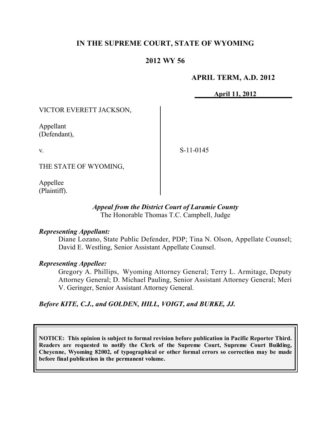# **IN THE SUPREME COURT, STATE OF WYOMING**

# **2012 WY 56**

## **APRIL TERM, A.D. 2012**

**April 11, 2012**

VICTOR EVERETT JACKSON,

Appellant (Defendant),

v.

S-11-0145

THE STATE OF WYOMING,

Appellee (Plaintiff).

### *Appeal from the District Court of Laramie County* The Honorable Thomas T.C. Campbell, Judge

### *Representing Appellant:*

Diane Lozano, State Public Defender, PDP; Tina N. Olson, Appellate Counsel; David E. Westling, Senior Assistant Appellate Counsel.

### *Representing Appellee:*

Gregory A. Phillips, Wyoming Attorney General; Terry L. Armitage, Deputy Attorney General; D. Michael Pauling, Senior Assistant Attorney General; Meri V. Geringer, Senior Assistant Attorney General.

### *Before KITE, C.J., and GOLDEN, HILL, VOIGT, and BURKE, JJ.*

**NOTICE: This opinion is subject to formal revision before publication in Pacific Reporter Third. Readers are requested to notify the Clerk of the Supreme Court, Supreme Court Building, Cheyenne, Wyoming 82002, of typographical or other formal errors so correction may be made before final publication in the permanent volume.**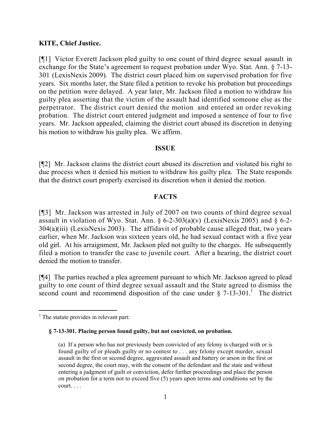### **KITE, Chief Justice.**

[¶1] Victor Everett Jackson pled guilty to one count of third degree sexual assault in exchange for the State's agreement to request probation under Wyo. Stat. Ann. § 7-13- 301 (LexisNexis 2009). The district court placed him on supervised probation for five years. Six months later, the State filed a petition to revoke his probation but proceedings on the petition were delayed. A year later, Mr. Jackson filed a motion to withdraw his guilty plea asserting that the victim of the assault had identified someone else as the perpetrator. The district court denied the motion and entered an order revoking probation. The district court entered judgment and imposed a sentence of four to five years. Mr. Jackson appealed, claiming the district court abused its discretion in denying his motion to withdraw his guilty plea. We affirm.

### **ISSUE**

[¶2] Mr. Jackson claims the district court abused its discretion and violated his right to due process when it denied his motion to withdraw his guilty plea. The State responds that the district court properly exercised its discretion when it denied the motion.

## **FACTS**

[¶3] Mr. Jackson was arrested in July of 2007 on two counts of third degree sexual assault in violation of Wyo. Stat. Ann.  $\frac{6}{2}$ -303(a)(v) (LexisNexis 2005) and  $\frac{6}{2}$ -2-304(a)(iii) (LexisNexis 2003). The affidavit of probable cause alleged that, two years earlier, when Mr. Jackson was sixteen years old, he had sexual contact with a five year old girl. At his arraignment, Mr. Jackson pled not guilty to the charges. He subsequently filed a motion to transfer the case to juvenile court. After a hearing, the district court denied the motion to transfer.

[¶4] The parties reached a plea agreement pursuant to which Mr. Jackson agreed to plead guilty to one count of third degree sexual assault and the State agreed to dismiss the second count and recommend disposition of the case under  $\S$  7-13-301.<sup>1</sup> The district

**§ 7-13-301. Placing person found guilty, but not convicted, on probation.**

  $<sup>1</sup>$  The statute provides in relevant part:</sup>

<sup>(</sup>a) If a person who has not previously been convicted of any felony is charged with or is found guilty of or pleads guilty or no contest to . . . any felony except murder, sexual assault in the first or second degree, aggravated assault and battery or arson in the first or second degree, the court may, with the consent of the defendant and the state and without entering a judgment of guilt or conviction, defer further proceedings and place the person on probation for a term not to exceed five (5) years upon terms and conditions set by the court. . . .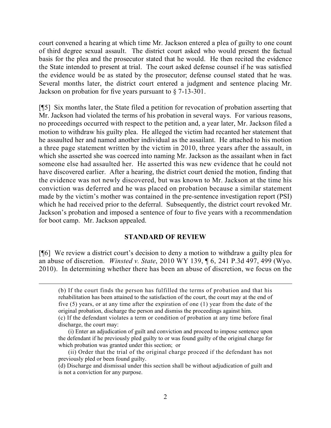court convened a hearing at which time Mr. Jackson entered a plea of guilty to one count of third degree sexual assault. The district court asked who would present the factual basis for the plea and the prosecutor stated that he would. He then recited the evidence the State intended to present at trial. The court asked defense counsel if he was satisfied the evidence would be as stated by the prosecutor; defense counsel stated that he was. Several months later, the district court entered a judgment and sentence placing Mr. Jackson on probation for five years pursuant to § 7-13-301.

[¶5] Six months later, the State filed a petition for revocation of probation asserting that Mr. Jackson had violated the terms of his probation in several ways. For various reasons, no proceedings occurred with respect to the petition and, a year later, Mr. Jackson filed a motion to withdraw his guilty plea. He alleged the victim had recanted her statement that he assaulted her and named another individual as the assailant. He attached to his motion a three page statement written by the victim in 2010, three years after the assault, in which she asserted she was coerced into naming Mr. Jackson as the assailant when in fact someone else had assaulted her. He asserted this was new evidence that he could not have discovered earlier. After a hearing, the district court denied the motion, finding that the evidence was not newly discovered, but was known to Mr. Jackson at the time his conviction was deferred and he was placed on probation because a similar statement made by the victim's mother was contained in the pre-sentence investigation report (PSI) which he had received prior to the deferral. Subsequently, the district court revoked Mr. Jackson's probation and imposed a sentence of four to five years with a recommendation for boot camp. Mr. Jackson appealed.

#### **STANDARD OF REVIEW**

[¶6] We review a district court's decision to deny a motion to withdraw a guilty plea for an abuse of discretion. *Winsted v. State*, 2010 WY 139, ¶ 6, 241 P.3d 497, 499 (Wyo. 2010). In determining whether there has been an abuse of discretion, we focus on the

 $\overline{a}$ 

<sup>(</sup>b) If the court finds the person has fulfilled the terms of probation and that his rehabilitation has been attained to the satisfaction of the court, the court may at the end of five (5) years, or at any time after the expiration of one (1) year from the date of the original probation, discharge the person and dismiss the proceedings against him. (c) If the defendant violates a term or condition of probation at any time before final

discharge, the court may:

<sup>(</sup>i) Enter an adjudication of guilt and conviction and proceed to impose sentence upon the defendant if he previously pled guilty to or was found guilty of the original charge for which probation was granted under this section; or

<sup>(</sup>ii) Order that the trial of the original charge proceed if the defendant has not previously pled or been found guilty.

<sup>(</sup>d) Discharge and dismissal under this section shall be without adjudication of guilt and is not a conviction for any purpose.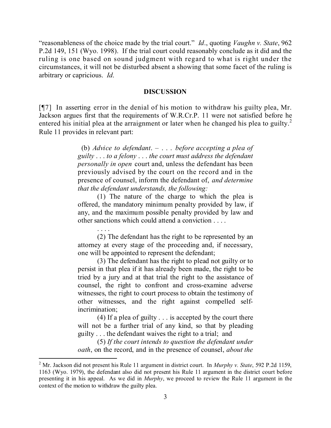"reasonableness of the choice made by the trial court." *Id*., quoting *Vaughn v. State*, 962 P.2d 149, 151 (Wyo. 1998). If the trial court could reasonably conclude as it did and the ruling is one based on sound judgment with regard to what is right under the circumstances, it will not be disturbed absent a showing that some facet of the ruling is arbitrary or capricious. *Id*.

#### **DISCUSSION**

[¶7] In asserting error in the denial of his motion to withdraw his guilty plea, Mr. Jackson argues first that the requirements of W.R.Cr.P. 11 were not satisfied before he entered his initial plea at the arraignment or later when he changed his plea to guilty.<sup>2</sup> Rule 11 provides in relevant part:

> (b) *Advice to defendant*. – . . . *before accepting a plea of guilty* . . . *to a felony* . . . *the court must address the defendant personally in open* court and, unless the defendant has been previously advised by the court on the record and in the presence of counsel, inform the defendant of, *and determine that the defendant understands, the following:*

> (1) The nature of the charge to which the plea is offered, the mandatory minimum penalty provided by law, if any, and the maximum possible penalty provided by law and other sanctions which could attend a conviction . . . .

> (2) The defendant has the right to be represented by an attorney at every stage of the proceeding and, if necessary, one will be appointed to represent the defendant;

. . . .

 $\overline{a}$ 

(3) The defendant has the right to plead not guilty or to persist in that plea if it has already been made, the right to be tried by a jury and at that trial the right to the assistance of counsel, the right to confront and cross-examine adverse witnesses, the right to court process to obtain the testimony of other witnesses, and the right against compelled selfincrimination;

(4) If a plea of guilty . . . is accepted by the court there will not be a further trial of any kind, so that by pleading guilty . . . the defendant waives the right to a trial; and

(5) *If the court intends to question the defendant under oath*, on the record, and in the presence of counsel, *about the* 

<sup>2</sup> Mr. Jackson did not present his Rule 11 argument in district court. In *Murphy v. State*, 592 P.2d 1159, 1163 (Wyo. 1979), the defendant also did not present his Rule 11 argument in the district court before presenting it in his appeal. As we did in *Murphy*, we proceed to review the Rule 11 argument in the context of the motion to withdraw the guilty plea.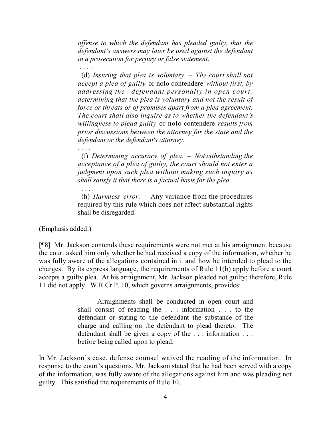*offense to which the defendant has pleaded guilty, that the defendant's answers may later be used against the defendant in a prosecution for perjury or false statement*.

. . . . (d) *Insuring that plea is voluntary*. – *The court shall not accept a plea of guilty* or nolo contendere *without first, by addressing the defendant personally in open court, determining that the plea is voluntary and not the result of force or threats or of promises apart from a plea agreement. The court shall also inquire as to whether the defendant's willingness to plead guilty* or nolo contendere *results from prior discussions between the attorney for the state and the defendant or the defendant's attorney.*

. . . . (f) *Determining accuracy of plea*. – *Notwithstanding the acceptance of a plea of guilty, the court should not enter a judgment upon such plea without making such inquiry as shall satisfy it that there is a factual basis for the plea.*

(h) *Harmless error*. – Any variance from the procedures required by this rule which does not affect substantial rights shall be disregarded.

(Emphasis added.)

. . . .

[¶8] Mr. Jackson contends these requirements were not met at his arraignment because the court asked him only whether he had received a copy of the information, whether he was fully aware of the allegations contained in it and how he intended to plead to the charges. By its express language, the requirements of Rule 11(b) apply before a court accepts a guilty plea. At his arraignment, Mr. Jackson pleaded not guilty; therefore, Rule 11 did not apply. W.R.Cr.P. 10, which governs arraignments, provides:

> Arraignments shall be conducted in open court and shall consist of reading the . . . information . . . to the defendant or stating to the defendant the substance of the charge and calling on the defendant to plead thereto. The defendant shall be given a copy of the . . . information . . . before being called upon to plead.

In Mr. Jackson's case, defense counsel waived the reading of the information. In response to the court's questions, Mr. Jackson stated that he had been served with a copy of the information, was fully aware of the allegations against him and was pleading not guilty. This satisfied the requirements of Rule 10.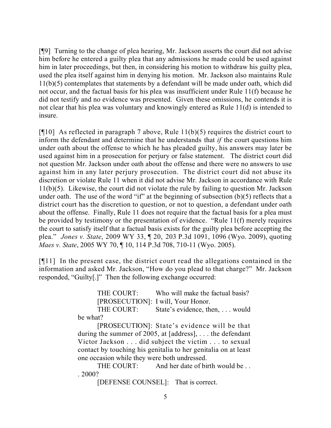[¶9] Turning to the change of plea hearing, Mr. Jackson asserts the court did not advise him before he entered a guilty plea that any admissions he made could be used against him in later proceedings, but then, in considering his motion to withdraw his guilty plea, used the plea itself against him in denying his motion. Mr. Jackson also maintains Rule 11(b)(5) contemplates that statements by a defendant will be made under oath, which did not occur, and the factual basis for his plea was insufficient under Rule 11(f) because he did not testify and no evidence was presented. Given these omissions, he contends it is not clear that his plea was voluntary and knowingly entered as Rule 11(d) is intended to insure.

[ $[$ [10] As reflected in paragraph 7 above, Rule 11(b)(5) requires the district court to inform the defendant and determine that he understands that *if* the court questions him under oath about the offense to which he has pleaded guilty, his answers may later be used against him in a prosecution for perjury or false statement. The district court did not question Mr. Jackson under oath about the offense and there were no answers to use against him in any later perjury prosecution. The district court did not abuse its discretion or violate Rule 11 when it did not advise Mr. Jackson in accordance with Rule 11(b)(5). Likewise, the court did not violate the rule by failing to question Mr. Jackson under oath. The use of the word "if" at the beginning of subsection  $(b)(5)$  reflects that a district court has the discretion to question, or not to question, a defendant under oath about the offense. Finally, Rule 11 does not require that the factual basis for a plea must be provided by testimony or the presentation of evidence. "Rule 11(f) merely requires the court to satisfy itself that a factual basis exists for the guilty plea before accepting the plea." *Jones v. State*, 2009 WY 33, ¶ 20, 203 P.3d 1091, 1096 (Wyo. 2009), quoting *Maes v. State*, 2005 WY 70, ¶ 10, 114 P.3d 708, 710-11 (Wyo. 2005).

[¶11] In the present case, the district court read the allegations contained in the information and asked Mr. Jackson, "How do you plead to that charge?" Mr. Jackson responded, "Guilty[.]" Then the following exchange occurred:

> THE COURT: Who will make the factual basis? [PROSECUTION]: I will, Your Honor.

THE COURT: State's evidence, then, ... would be what?

[PROSECUTION]: State's evidence will be that during the summer of 2005, at [address], . . . the defendant Victor Jackson . . . did subject the victim . . . to sexual contact by touching his genitalia to her genitalia on at least one occasion while they were both undressed.

THE COURT: And her date of birth would be ... . 2000?

[DEFENSE COUNSEL]: That is correct.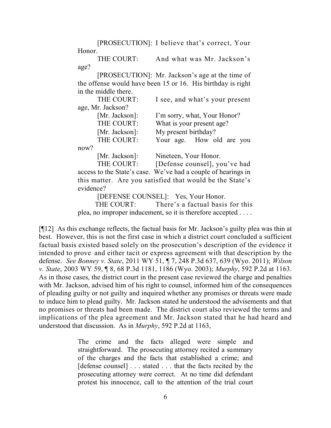[PROSECUTION]: I believe that's correct, Your Honor.

THE COURT: And what was Mr. Jackson's age?

[PROSECUTION]: Mr. Jackson's age at the time of the offense would have been 15 or 16. His birthday is right in the middle there.

|                   | THE COURT:     | I see, and what's your present |
|-------------------|----------------|--------------------------------|
| age, Mr. Jackson? |                |                                |
|                   | [Mr. Jackson]: | I'm sorry, what, Your Honor?   |
|                   | THE COURT:     | What is your present age?      |
|                   | [Mr. Jackson]: | My present birthday?           |
|                   | THE COURT:     | Your age. How old are you      |
| now?              |                |                                |
|                   | [Mr. Jackson]: | Nineteen, Your Honor.          |

THE COURT: [Defense counsel], you've had access to the State's case. We've had a couple of hearings in this matter. Are you satisfied that would be the State's evidence?

[DEFENSE COUNSEL]: Yes, Your Honor.

THE COURT: There's a factual basis for this plea, no improper inducement, so it is therefore accepted . . . .

[¶12] As this exchange reflects, the factual basis for Mr. Jackson's guilty plea was thin at best. However, this is not the first case in which a district court concluded a sufficient factual basis existed based solely on the prosecution's description of the evidence it intended to prove and either tacit or express agreement with that description by the defense. *See Bonney v. State*, 2011 WY 51, ¶ 7, 248 P.3d 637, 639 (Wyo. 2011); *Wilson v. State*, 2003 WY 59, ¶ 8, 68 P.3d 1181, 1186 (Wyo. 2003); *Murphy*, 592 P.2d at 1163. As in those cases, the district court in the present case reviewed the charge and penalties with Mr. Jackson, advised him of his right to counsel, informed him of the consequences of pleading guilty or not guilty and inquired whether any promises or threats were made to induce him to plead guilty. Mr. Jackson stated he understood the advisements and that no promises or threats had been made. The district court also reviewed the terms and implications of the plea agreement and Mr. Jackson stated that he had heard and understood that discussion. As in *Murphy*, 592 P.2d at 1163,

> The crime and the facts alleged were simple and straightforward. The prosecuting attorney recited a summary of the charges and the facts that established a crime; and [defense counsel] . . . stated . . . that the facts recited by the prosecuting attorney were correct. At no time did defendant protest his innocence, call to the attention of the trial court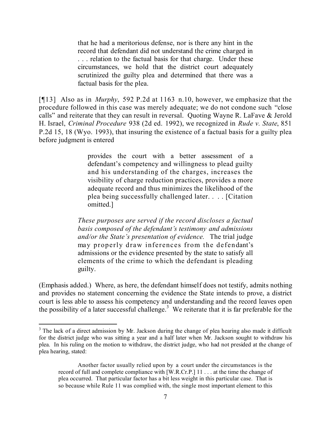that he had a meritorious defense, nor is there any hint in the record that defendant did not understand the crime charged in . . . relation to the factual basis for that charge. Under these circumstances, we hold that the district court adequately scrutinized the guilty plea and determined that there was a factual basis for the plea.

[¶13] Also as in *Murphy*, 592 P.2d at 1163 n.10, however, we emphasize that the procedure followed in this case was merely adequate; we do not condone such "close calls" and reiterate that they can result in reversal. Quoting Wayne R. LaFave & Jerold H. Israel, *Criminal Procedure* 938 (2d ed. 1992), we recognized in *Rude v. State*, 851 P.2d 15, 18 (Wyo. 1993), that insuring the existence of a factual basis for a guilty plea before judgment is entered

> provides the court with a better assessment of a defendant's competency and willingness to plead guilty and his understanding of the charges, increases the visibility of charge reduction practices, provides a more adequate record and thus minimizes the likelihood of the plea being successfully challenged later. . . . [Citation omitted.]

*These purposes are served if the record discloses a factual basis composed of the defendant's testimony and admissions and/or the State's presentation of evidence.* The trial judge may properly draw inferences from the defendant's admissions or the evidence presented by the state to satisfy all elements of the crime to which the defendant is pleading guilty.

(Emphasis added.) Where, as here, the defendant himself does not testify, admits nothing and provides no statement concerning the evidence the State intends to prove, a district court is less able to assess his competency and understanding and the record leaves open the possibility of a later successful challenge.<sup>3</sup> We reiterate that it is far preferable for the

 $\overline{a}$ 

 $3$  The lack of a direct admission by Mr. Jackson during the change of plea hearing also made it difficult for the district judge who was sitting a year and a half later when Mr. Jackson sought to withdraw his plea. In his ruling on the motion to withdraw, the district judge, who had not presided at the change of plea hearing, stated:

Another factor usually relied upon by a court under the circumstances is the record of full and complete compliance with [W.R.Cr.P.] 11 . . . at the time the change of plea occurred. That particular factor has a bit less weight in this particular case. That is so because while Rule 11 was complied with, the single most important element to this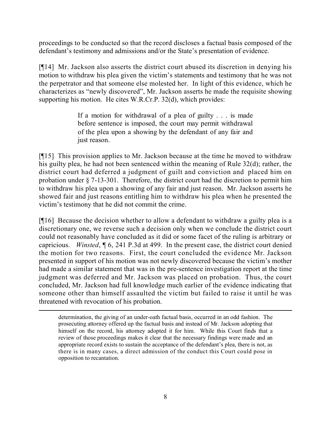proceedings to be conducted so that the record discloses a factual basis composed of the defendant's testimony and admissions and/or the State's presentation of evidence.

[¶14] Mr. Jackson also asserts the district court abused its discretion in denying his motion to withdraw his plea given the victim's statements and testimony that he was not the perpetrator and that someone else molested her. In light of this evidence, which he characterizes as "newly discovered", Mr. Jackson asserts he made the requisite showing supporting his motion. He cites W.R.Cr.P. 32(d), which provides:

> If a motion for withdrawal of a plea of guilty . . . is made before sentence is imposed, the court may permit withdrawal of the plea upon a showing by the defendant of any fair and just reason.

[¶15] This provision applies to Mr. Jackson because at the time he moved to withdraw his guilty plea, he had not been sentenced within the meaning of Rule 32(d); rather, the district court had deferred a judgment of guilt and conviction and placed him on probation under § 7-13-301. Therefore, the district court had the discretion to permit him to withdraw his plea upon a showing of any fair and just reason. Mr. Jackson asserts he showed fair and just reasons entitling him to withdraw his plea when he presented the victim's testimony that he did not commit the crime.

[¶16] Because the decision whether to allow a defendant to withdraw a guilty plea is a discretionary one, we reverse such a decision only when we conclude the district court could not reasonably have concluded as it did or some facet of the ruling is arbitrary or capricious. *Winsted*, ¶ 6, 241 P.3d at 499. In the present case, the district court denied the motion for two reasons. First, the court concluded the evidence Mr. Jackson presented in support of his motion was not newly discovered because the victim's mother had made a similar statement that was in the pre-sentence investigation report at the time judgment was deferred and Mr. Jackson was placed on probation. Thus, the court concluded, Mr. Jackson had full knowledge much earlier of the evidence indicating that someone other than himself assaulted the victim but failed to raise it until he was threatened with revocation of his probation.

determination, the giving of an under-oath factual basis, occurred in an odd fashion. The prosecuting attorney offered up the factual basis and instead of Mr. Jackson adopting that himself on the record, his attorney adopted it for him. While this Court finds that a review of those proceedings makes it clear that the necessary findings were made and an appropriate record exists to sustain the acceptance of the defendant's plea, there is not, as there is in many cases, a direct admission of the conduct this Court could pose in opposition to recantation.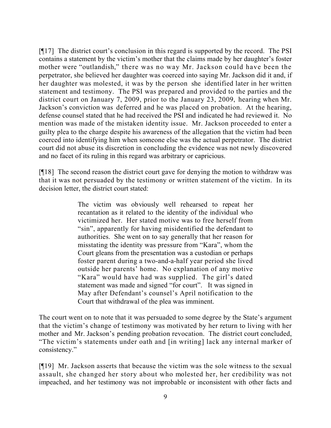[¶17] The district court's conclusion in this regard is supported by the record. The PSI contains a statement by the victim's mother that the claims made by her daughter's foster mother were "outlandish," there was no way Mr. Jackson could have been the perpetrator, she believed her daughter was coerced into saying Mr. Jackson did it and, if her daughter was molested, it was by the person she identified later in her written statement and testimony. The PSI was prepared and provided to the parties and the district court on January 7, 2009, prior to the January 23, 2009, hearing when Mr. Jackson's conviction was deferred and he was placed on probation. At the hearing, defense counsel stated that he had received the PSI and indicated he had reviewed it. No mention was made of the mistaken identity issue. Mr. Jackson proceeded to enter a guilty plea to the charge despite his awareness of the allegation that the victim had been coerced into identifying him when someone else was the actual perpetrator. The district court did not abuse its discretion in concluding the evidence was not newly discovered and no facet of its ruling in this regard was arbitrary or capricious.

[¶18] The second reason the district court gave for denying the motion to withdraw was that it was not persuaded by the testimony or written statement of the victim. In its decision letter, the district court stated:

> The victim was obviously well rehearsed to repeat her recantation as it related to the identity of the individual who victimized her. Her stated motive was to free herself from "sin", apparently for having misidentified the defendant to authorities. She went on to say generally that her reason for misstating the identity was pressure from "Kara", whom the Court gleans from the presentation was a custodian or perhaps foster parent during a two-and-a-half year period she lived outside her parents' home. No explanation of any motive "Kara" would have had was supplied. The girl's dated statement was made and signed "for court". It was signed in May after Defendant's counsel's April notification to the Court that withdrawal of the plea was imminent.

The court went on to note that it was persuaded to some degree by the State's argument that the victim's change of testimony was motivated by her return to living with her mother and Mr. Jackson's pending probation revocation. The district court concluded, "The victim's statements under oath and [in writing] lack any internal marker of consistency."

[¶19] Mr. Jackson asserts that because the victim was the sole witness to the sexual assault, she changed her story about who molested her, her credibility was not impeached, and her testimony was not improbable or inconsistent with other facts and